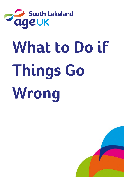

# **What to Do if Things Go Wrong**

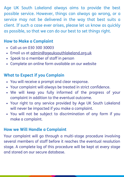Age UK South Lakeland always aims to provide the best possible service. However, things can always go wrong, or a service may not be delivered in the way that best suits a client. If such a case ever arises, please let us know as quickly as possible, so that we can do our best to set things right.

### **How to Make a Complaint**

- Call us on 030 300 30003
- Email us at admin@ageuksouthlakeland.org.uk
- Speak to a member of staff in person
- Complete an online form available on our website

#### **What to Expect if you Complain**

- You will receive a prompt and clear response.
- Your complaint will always be treated in strict confidence.
- We will keep you fully informed of the progress of your complaint in addition to the eventual outcome.
- Your right to any service provided by Age UK South Lakeland will never be impacted if you make a complaint.
- You will not be subject to discrimination of any form if you make a complaint.

#### **How we Will Handle a Complaint**

Your complaint will go through a multi-stage procedure involving several members of staff before it reaches the eventual resolution stage. A complete log of this procedure will be kept at every stage and stored on our secure database.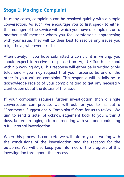## **Stage 1: Making a Complaint**

In many cases, complaints can be resolved quickly with a simple conversation. As such, we encourage you to first speak to either the manager of the service with which you have a complaint, or to another staff member whom you feel comfortable approaching with your issue. They will do their best to resolve any issues you might have, wherever possible.

Alternatively, if you have submitted a complaint in writing, you should expect to receive a response from Age UK South Lakeland within 5 working days. This response will either be in writing or via telephone – you may request that your response be one or the other in your written complaint. This response will initially be to acknowledge receipt of your complaint and to get any necessary clarification about the details of the issue.

If your complaint requires further investigation than a single conversation can provide, we will ask for you to fill out a "Comments, Suggestions & Complaints" form for us to review. We aim to send a letter of acknowledgement back to you within 3 days, before arranging a formal meeting with you and conducting a full internal investigation.

When this process is complete we will inform you in writing with the conclusions of the investigation and the reasons for the outcome. We will also keep you informed of the progress of this investigation throughout the process.